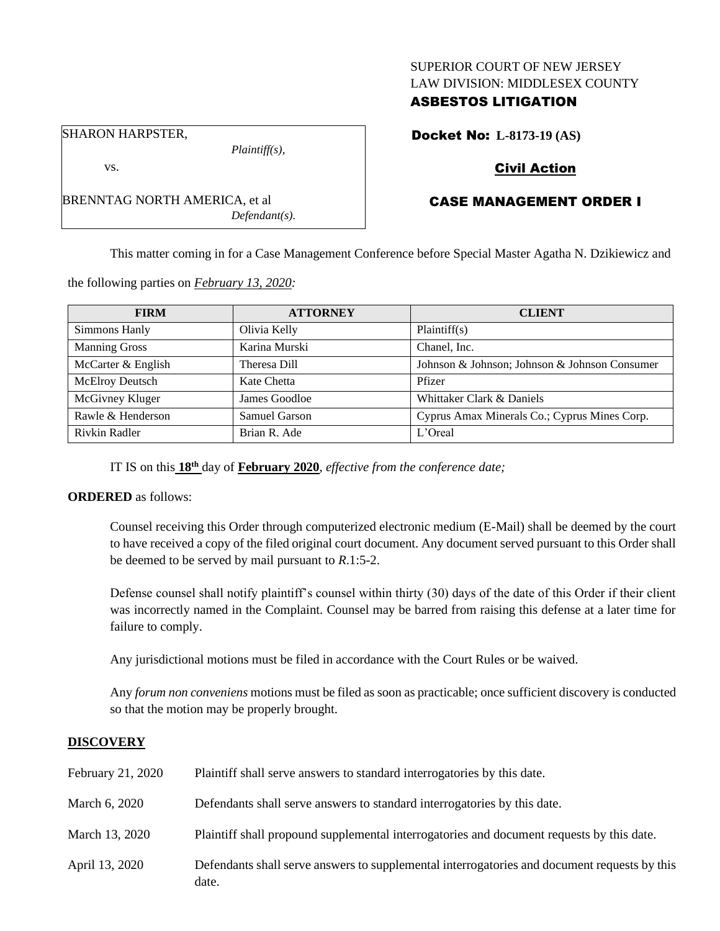#### SUPERIOR COURT OF NEW JERSEY LAW DIVISION: MIDDLESEX COUNTY

## ASBESTOS LITIGATION

SHARON HARPSTER,

*Plaintiff(s),*

# vs.

BRENNTAG NORTH AMERICA, et al *Defendant(s).* Docket No: **L-8173-19 (AS)**

# Civil Action

# CASE MANAGEMENT ORDER I

This matter coming in for a Case Management Conference before Special Master Agatha N. Dzikiewicz and

the following parties on *February 13, 2020:*

| <b>FIRM</b>          | <b>ATTORNEY</b> | <b>CLIENT</b>                                 |
|----------------------|-----------------|-----------------------------------------------|
| Simmons Hanly        | Olivia Kelly    | Plaintiff(s)                                  |
| <b>Manning Gross</b> | Karina Murski   | Chanel, Inc.                                  |
| McCarter & English   | Theresa Dill    | Johnson & Johnson; Johnson & Johnson Consumer |
| McElroy Deutsch      | Kate Chetta     | Pfizer                                        |
| McGivney Kluger      | James Goodloe   | Whittaker Clark & Daniels                     |
| Rawle & Henderson    | Samuel Garson   | Cyprus Amax Minerals Co.; Cyprus Mines Corp.  |
| Rivkin Radler        | Brian R. Ade    | $L'$ Oreal                                    |

IT IS on this **18th** day of **February 2020**, *effective from the conference date;*

## **ORDERED** as follows:

Counsel receiving this Order through computerized electronic medium (E-Mail) shall be deemed by the court to have received a copy of the filed original court document. Any document served pursuant to this Order shall be deemed to be served by mail pursuant to *R*.1:5-2.

Defense counsel shall notify plaintiff's counsel within thirty (30) days of the date of this Order if their client was incorrectly named in the Complaint. Counsel may be barred from raising this defense at a later time for failure to comply.

Any jurisdictional motions must be filed in accordance with the Court Rules or be waived.

Any *forum non conveniens* motions must be filed as soon as practicable; once sufficient discovery is conducted so that the motion may be properly brought.

## **DISCOVERY**

| February 21, 2020 | Plaintiff shall serve answers to standard interrogatories by this date.                               |
|-------------------|-------------------------------------------------------------------------------------------------------|
| March 6, 2020     | Defendants shall serve answers to standard interrogatories by this date.                              |
| March 13, 2020    | Plaintiff shall propound supplemental interrogatories and document requests by this date.             |
| April 13, 2020    | Defendants shall serve answers to supplemental interrogatories and document requests by this<br>date. |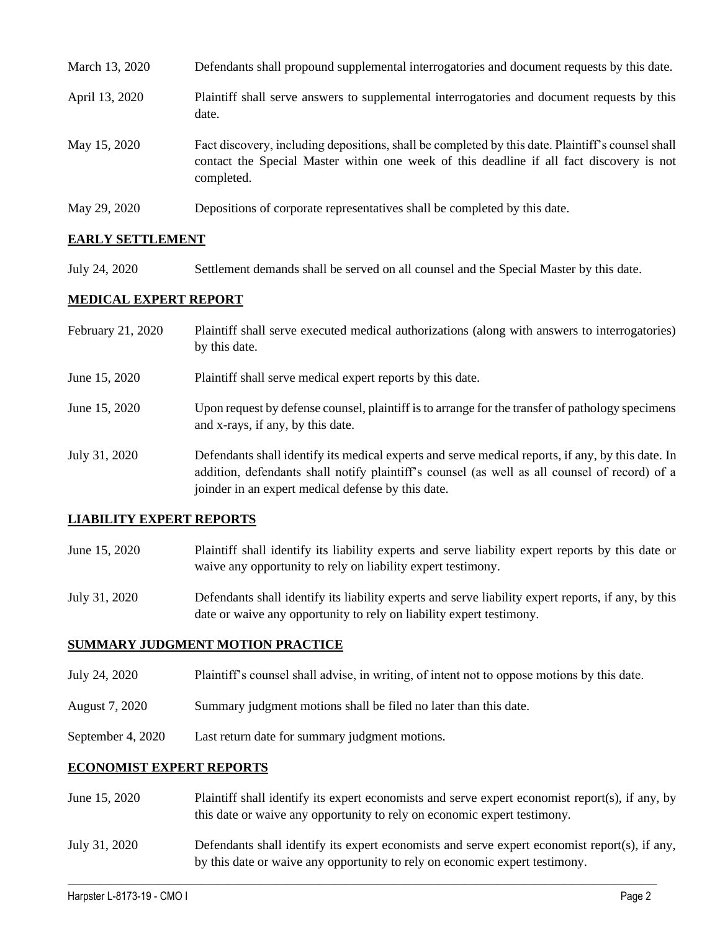| March 13, 2020 | Defendants shall propound supplemental interrogatories and document requests by this date.                                                                                                                  |
|----------------|-------------------------------------------------------------------------------------------------------------------------------------------------------------------------------------------------------------|
| April 13, 2020 | Plaintiff shall serve answers to supplemental interrogatories and document requests by this<br>date.                                                                                                        |
| May 15, 2020   | Fact discovery, including depositions, shall be completed by this date. Plaintiff's counsel shall<br>contact the Special Master within one week of this deadline if all fact discovery is not<br>completed. |
| May 29, 2020   | Depositions of corporate representatives shall be completed by this date.                                                                                                                                   |

## **EARLY SETTLEMENT**

July 24, 2020 Settlement demands shall be served on all counsel and the Special Master by this date.

## **MEDICAL EXPERT REPORT**

| February 21, 2020 | Plaintiff shall serve executed medical authorizations (along with answers to interrogatories)<br>by this date.                                                                                                                                           |
|-------------------|----------------------------------------------------------------------------------------------------------------------------------------------------------------------------------------------------------------------------------------------------------|
| June 15, 2020     | Plaintiff shall serve medical expert reports by this date.                                                                                                                                                                                               |
| June 15, 2020     | Upon request by defense counsel, plaintiff is to arrange for the transfer of pathology specimens<br>and x-rays, if any, by this date.                                                                                                                    |
| July 31, 2020     | Defendants shall identify its medical experts and serve medical reports, if any, by this date. In<br>addition, defendants shall notify plaintiff's counsel (as well as all counsel of record) of a<br>joinder in an expert medical defense by this date. |

#### **LIABILITY EXPERT REPORTS**

June 15, 2020 Plaintiff shall identify its liability experts and serve liability expert reports by this date or waive any opportunity to rely on liability expert testimony.

July 31, 2020 Defendants shall identify its liability experts and serve liability expert reports, if any, by this date or waive any opportunity to rely on liability expert testimony.

#### **SUMMARY JUDGMENT MOTION PRACTICE**

- July 24, 2020 Plaintiff's counsel shall advise, in writing, of intent not to oppose motions by this date.
- August 7, 2020 Summary judgment motions shall be filed no later than this date.
- September 4, 2020 Last return date for summary judgment motions.

#### **ECONOMIST EXPERT REPORTS**

- June 15, 2020 Plaintiff shall identify its expert economists and serve expert economist report(s), if any, by this date or waive any opportunity to rely on economic expert testimony.
- July 31, 2020 Defendants shall identify its expert economists and serve expert economist report(s), if any, by this date or waive any opportunity to rely on economic expert testimony.

 $\_$  , and the set of the set of the set of the set of the set of the set of the set of the set of the set of the set of the set of the set of the set of the set of the set of the set of the set of the set of the set of th